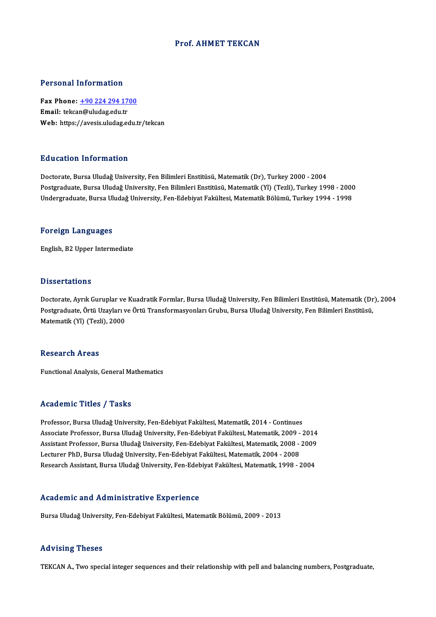#### Prof. AHMET TEKCAN

#### Personal Information

Personal Information<br>Fax Phone: <u>+90 224 294 1700</u><br>Email: tekeen@uludes.edu.tr Fersonal Information<br>Fax Phone: <u>+90 224 294 17</u><br>Email: tekca[n@uludag.edu.tr](tel:+90 224 294 1700) Email: tekcan@uludag.edu.tr<br>Web: https://avesis.uludag.edu.tr/tekcan

#### Education Information

Doctorate, Bursa Uludağ University, Fen Bilimleri Enstitüsü, Matematik (Dr), Turkey 2000 - 2004 Pu u sutrom minominusion<br>Doctorate, Bursa Uludağ University, Fen Bilimleri Enstitüsü, Matematik (Dr), Turkey 2000 - 2004<br>Postgraduate, Bursa Uludağ University, Fen Bilimleri Enstitüsü, Matematik (Yl) (Tezli), Turkey 1998 -Doctorate, Bursa Uludağ University, Fen Bilimleri Enstitüsü, Matematik (Dr), Turkey 2000 - 2004<br>Postgraduate, Bursa Uludağ University, Fen Bilimleri Enstitüsü, Matematik (Yl) (Tezli), Turkey 1998 - 2000<br>Undergraduate, Burs Undergraduate, Bursa Uludağ University, Fen-Edebiyat Fakültesi, Matematik Bölümü, Turkey 1994 - 1998<br>Foreign Languages

English,B2Upper Intermediate

#### **Dissertations**

Dissertations<br>Doctorate, Ayrık Guruplar ve Kuadratik Formlar, Bursa Uludağ University, Fen Bilimleri Enstitüsü, Matematik (Dr), 2004<br>Postaraduata Örtü Ugayları ve Örtü Transformasyonları Crubu, Bursa Uludağ University, Fen D'isses tatrense<br>Doctorate, Ayrık Guruplar ve Kuadratik Formlar, Bursa Uludağ University, Fen Bilimleri Enstitüsü, Matematik (Dr<br>Postgraduate, Örtü Uzayları ve Örtü Transformasyonları Grubu, Bursa Uludağ University, Fen Bi Doctorate, Ayrık Guruplar ve<br>Postgraduate, Örtü Uzayları v<br>Matematik (Yl) (Tezli), 2000 Matematik (Yl) (Tezli), 2000<br>Research Areas

Functional Analysis, General Mathematics

#### Academic Titles / Tasks

Professor, Bursa Uludağ University, Fen-Edebiyat Fakültesi, Matematik, 2014 - Continues Associate Articus / Adons<br>Professor, Bursa Uludağ University, Fen-Edebiyat Fakültesi, Matematik, 2014 - Continues<br>Associate Professor, Bursa Uludağ University, Fen-Edebiyat Fakültesi, Matematik, 2009 - 2014<br>Assistant Profe Professor, Bursa Uludağ University, Fen-Edebiyat Fakültesi, Matematik, 2014 - Continues<br>Associate Professor, Bursa Uludağ University, Fen-Edebiyat Fakültesi, Matematik, 2009 - 2014<br>Assistant Professor, Bursa Uludağ Univers Associate Professor, Bursa Uludağ University, Fen-Edebiyat Fakültesi, Matematik, 2009 -<br>Assistant Professor, Bursa Uludağ University, Fen-Edebiyat Fakültesi, Matematik, 2008 -<br>Lecturer PhD, Bursa Uludağ University, Fen-Ede Assistant Professor, Bursa Uludağ University, Fen-Edebiyat Fakültesi, Matematik, 2008 - 2009<br>Lecturer PhD, Bursa Uludağ University, Fen-Edebiyat Fakültesi, Matematik, 2004 - 2008<br>Research Assistant, Bursa Uludağ University

#### Academic and Administrative Experience

Bursa Uludağ University, Fen-Edebiyat Fakültesi, Matematik Bölümü, 2009 - 2013

#### Advising Theses

TEKCAN A., Two special integer sequences and their relationship with pell and balancing numbers, Postgraduate,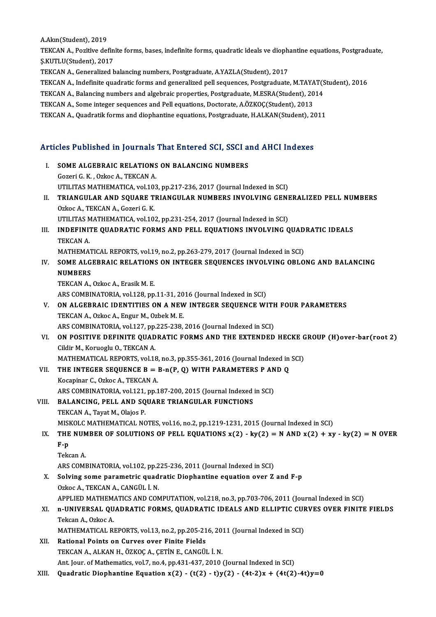A.Akın(Student),2019

A.Akın(Student), 2019<br>TEKCAN A., Pozitive definite forms, bases, indefinite forms, quadratic ideals ve diophantine equations, Postgraduate,<br>S.KUTU U(Student), 2017 A.Akın(Student), 2019<br>TEKCAN A., Pozitive defin<br>Ş.KUTLU(Student), 2017<br>TEKCAN A. Conoralized b TEKCAN A., Pozitive definite forms, bases, indefinite forms, quadratic ideals ve dioph:<br>Ş.KUTLU(Student), 2017<br>TEKCAN A., Generalized balancing numbers, Postgraduate, A.YAZLA(Student), 2017<br>TEKCAN A., Indefinite quadratic \$.KUTLU(Student), 2017<br>TEKCAN A., Generalized balancing numbers, Postgraduate, A.YAZLA(Student), 2017<br>TEKCAN A., Indefinite quadratic forms and generalized pell sequences, Postgraduate, M.TAYAT(Student), 2016<br>TEKCAN A., Pa

TEKCAN A., Generalized balancing numbers, Postgraduate, A.YAZLA(Student), 2017<br>TEKCAN A., Indefinite quadratic forms and generalized pell sequences, Postgraduate, M.TAYAT(S<br>TEKCAN A., Balancing numbers and algebraic proper TEKCAN A., Indefinite quadratic forms and generalized pell sequences, Postgraduate, M.TAYA<br>TEKCAN A., Balancing numbers and algebraic properties, Postgraduate, M.ESRA(Student), 20<br>TEKCAN A., Some integer sequences and Pell

TEKCAN A., Balancing numbers and algebraic properties, Postgraduate, M.ESRA(Student), 2014<br>TEKCAN A., Some integer sequences and Pell equations, Doctorate, A.ÖZKOÇ(Student), 2013<br>TEKCAN A., Quadratik forms and diophantine

# IERCAN A., Quadrauk forms and diophanune equations, Postgraduate, H.ALKAN(Student), 20<br>Articles Published in Journals That Entered SCI, SSCI and AHCI Indexes

| SOME ALGEBRAIC RELATIONS ON BALANCING NUMBERS<br>L.<br>Gozeri G. K., Ozkoc A., TEKCAN A.<br>UTILITAS MATHEMATICA, vol.103, pp.217-236, 2017 (Journal Indexed in SCI)<br>TRIANGULAR AND SQUARE TRIANGULAR NUMBERS INVOLVING GENERALIZED PELL NUMBERS<br>П.<br>Ozkoc A., TEKCAN A., Gozeri G. K.<br>UTILITAS MATHEMATICA, vol.102, pp.231-254, 2017 (Journal Indexed in SCI)<br>INDEFINITE QUADRATIC FORMS AND PELL EQUATIONS INVOLVING QUADRATIC IDEALS<br>III.<br>TEKCAN A.<br>MATHEMATICAL REPORTS, vol.19, no.2, pp.263-279, 2017 (Journal Indexed in SCI)<br>SOME ALGEBRAIC RELATIONS ON INTEGER SEQUENCES INVOLVING OBLONG AND BALANCING<br>IV.<br><b>NUMBERS</b><br>TEKCAN A., Ozkoc A., Erasik M. E.<br>ARS COMBINATORIA, vol.128, pp.11-31, 2016 (Journal Indexed in SCI)<br>ON ALGEBRAIC IDENTITIES ON A NEW INTEGER SEQUENCE WITH FOUR PARAMETERS<br>V.<br>TEKCAN A, Ozkoc A, Engur M, Ozbek M. E.<br>ARS COMBINATORIA, vol.127, pp.225-238, 2016 (Journal Indexed in SCI)<br>ON POSITIVE DEFINITE QUADRATIC FORMS AND THE EXTENDED HECKE GROUP (H)over-bar(root 2)<br>VI.<br>Cildir M., Koruoglu O., TEKCAN A.<br>MATHEMATICAL REPORTS, vol.18, no.3, pp.355-361, 2016 (Journal Indexed in SCI)<br>THE INTEGER SEQUENCE $B = B-n(P, Q)$ with PARAMETERS P AND Q<br>VII.<br>Kocapinar C., Ozkoc A., TEKCAN A.<br>ARS COMBINATORIA, vol.121, pp.187-200, 2015 (Journal Indexed in SCI)<br>BALANCING, PELL AND SQUARE TRIANGULAR FUNCTIONS<br>TEKCAN A., Tayat M., Olajos P.<br>MISKOLC MATHEMATICAL NOTES, vol.16, no.2, pp.1219-1231, 2015 (Journal Indexed in SCI)<br>THE NUMBER OF SOLUTIONS OF PELL EQUATIONS $x(2) - ky(2) = N$ AND $x(2) + xy - ky(2) = N$ OVER<br>IX.<br>$F-p$<br>Tekcan A.<br>ARS COMBINATORIA, vol.102, pp.225-236, 2011 (Journal Indexed in SCI)<br>Solving some parametric quadratic Diophantine equation over Z and F-p<br>X.<br>Ozkoc A., TEKCAN A., CANGÜL İ.N.<br>APPLIED MATHEMATICS AND COMPUTATION, vol.218, no.3, pp.703-706, 2011 (Journal Indexed in SCI)<br>n-UNIVERSAL QUADRATIC FORMS, QUADRATIC IDEALS AND ELLIPTIC CURVES OVER FINITE FIELDS<br>XI.<br>Tekcan A., Ozkoc A.<br>MATHEMATICAL REPORTS, vol.13, no.2, pp.205-216, 2011 (Journal Indexed in SCI)<br>Rational Points on Curves over Finite Fields<br>XII.<br>TEKCAN A., ALKAN H., ÖZKOÇ A., ÇETİN E., CANGÜL İ. N.<br>Ant. Jour. of Mathematics, vol.7, no.4, pp.431-437, 2010 (Journal Indexed in SCI)<br>Quadratic Diophantine Equation x(2) - (t(2) - t)y(2) - (4t-2)x + (4t(2)-4t)y=0<br>XIII. | Articles Published in Journals That Entered SCI, SSCI and AHCI Indexes |  |  |
|----------------------------------------------------------------------------------------------------------------------------------------------------------------------------------------------------------------------------------------------------------------------------------------------------------------------------------------------------------------------------------------------------------------------------------------------------------------------------------------------------------------------------------------------------------------------------------------------------------------------------------------------------------------------------------------------------------------------------------------------------------------------------------------------------------------------------------------------------------------------------------------------------------------------------------------------------------------------------------------------------------------------------------------------------------------------------------------------------------------------------------------------------------------------------------------------------------------------------------------------------------------------------------------------------------------------------------------------------------------------------------------------------------------------------------------------------------------------------------------------------------------------------------------------------------------------------------------------------------------------------------------------------------------------------------------------------------------------------------------------------------------------------------------------------------------------------------------------------------------------------------------------------------------------------------------------------------------------------------------------------------------------------------------------------------------------------------------------------------------------------------------------------------------------------------------------------------------------------------------------------------------------------------------------------------------------------------------------------------------------------------------------------------------------------------------------------------------------------------------------------------------|------------------------------------------------------------------------|--|--|
| VIII.                                                                                                                                                                                                                                                                                                                                                                                                                                                                                                                                                                                                                                                                                                                                                                                                                                                                                                                                                                                                                                                                                                                                                                                                                                                                                                                                                                                                                                                                                                                                                                                                                                                                                                                                                                                                                                                                                                                                                                                                                                                                                                                                                                                                                                                                                                                                                                                                                                                                                                          |                                                                        |  |  |
|                                                                                                                                                                                                                                                                                                                                                                                                                                                                                                                                                                                                                                                                                                                                                                                                                                                                                                                                                                                                                                                                                                                                                                                                                                                                                                                                                                                                                                                                                                                                                                                                                                                                                                                                                                                                                                                                                                                                                                                                                                                                                                                                                                                                                                                                                                                                                                                                                                                                                                                |                                                                        |  |  |
|                                                                                                                                                                                                                                                                                                                                                                                                                                                                                                                                                                                                                                                                                                                                                                                                                                                                                                                                                                                                                                                                                                                                                                                                                                                                                                                                                                                                                                                                                                                                                                                                                                                                                                                                                                                                                                                                                                                                                                                                                                                                                                                                                                                                                                                                                                                                                                                                                                                                                                                |                                                                        |  |  |
|                                                                                                                                                                                                                                                                                                                                                                                                                                                                                                                                                                                                                                                                                                                                                                                                                                                                                                                                                                                                                                                                                                                                                                                                                                                                                                                                                                                                                                                                                                                                                                                                                                                                                                                                                                                                                                                                                                                                                                                                                                                                                                                                                                                                                                                                                                                                                                                                                                                                                                                |                                                                        |  |  |
|                                                                                                                                                                                                                                                                                                                                                                                                                                                                                                                                                                                                                                                                                                                                                                                                                                                                                                                                                                                                                                                                                                                                                                                                                                                                                                                                                                                                                                                                                                                                                                                                                                                                                                                                                                                                                                                                                                                                                                                                                                                                                                                                                                                                                                                                                                                                                                                                                                                                                                                |                                                                        |  |  |
|                                                                                                                                                                                                                                                                                                                                                                                                                                                                                                                                                                                                                                                                                                                                                                                                                                                                                                                                                                                                                                                                                                                                                                                                                                                                                                                                                                                                                                                                                                                                                                                                                                                                                                                                                                                                                                                                                                                                                                                                                                                                                                                                                                                                                                                                                                                                                                                                                                                                                                                |                                                                        |  |  |
|                                                                                                                                                                                                                                                                                                                                                                                                                                                                                                                                                                                                                                                                                                                                                                                                                                                                                                                                                                                                                                                                                                                                                                                                                                                                                                                                                                                                                                                                                                                                                                                                                                                                                                                                                                                                                                                                                                                                                                                                                                                                                                                                                                                                                                                                                                                                                                                                                                                                                                                |                                                                        |  |  |
|                                                                                                                                                                                                                                                                                                                                                                                                                                                                                                                                                                                                                                                                                                                                                                                                                                                                                                                                                                                                                                                                                                                                                                                                                                                                                                                                                                                                                                                                                                                                                                                                                                                                                                                                                                                                                                                                                                                                                                                                                                                                                                                                                                                                                                                                                                                                                                                                                                                                                                                |                                                                        |  |  |
|                                                                                                                                                                                                                                                                                                                                                                                                                                                                                                                                                                                                                                                                                                                                                                                                                                                                                                                                                                                                                                                                                                                                                                                                                                                                                                                                                                                                                                                                                                                                                                                                                                                                                                                                                                                                                                                                                                                                                                                                                                                                                                                                                                                                                                                                                                                                                                                                                                                                                                                |                                                                        |  |  |
|                                                                                                                                                                                                                                                                                                                                                                                                                                                                                                                                                                                                                                                                                                                                                                                                                                                                                                                                                                                                                                                                                                                                                                                                                                                                                                                                                                                                                                                                                                                                                                                                                                                                                                                                                                                                                                                                                                                                                                                                                                                                                                                                                                                                                                                                                                                                                                                                                                                                                                                |                                                                        |  |  |
|                                                                                                                                                                                                                                                                                                                                                                                                                                                                                                                                                                                                                                                                                                                                                                                                                                                                                                                                                                                                                                                                                                                                                                                                                                                                                                                                                                                                                                                                                                                                                                                                                                                                                                                                                                                                                                                                                                                                                                                                                                                                                                                                                                                                                                                                                                                                                                                                                                                                                                                |                                                                        |  |  |
|                                                                                                                                                                                                                                                                                                                                                                                                                                                                                                                                                                                                                                                                                                                                                                                                                                                                                                                                                                                                                                                                                                                                                                                                                                                                                                                                                                                                                                                                                                                                                                                                                                                                                                                                                                                                                                                                                                                                                                                                                                                                                                                                                                                                                                                                                                                                                                                                                                                                                                                |                                                                        |  |  |
|                                                                                                                                                                                                                                                                                                                                                                                                                                                                                                                                                                                                                                                                                                                                                                                                                                                                                                                                                                                                                                                                                                                                                                                                                                                                                                                                                                                                                                                                                                                                                                                                                                                                                                                                                                                                                                                                                                                                                                                                                                                                                                                                                                                                                                                                                                                                                                                                                                                                                                                |                                                                        |  |  |
|                                                                                                                                                                                                                                                                                                                                                                                                                                                                                                                                                                                                                                                                                                                                                                                                                                                                                                                                                                                                                                                                                                                                                                                                                                                                                                                                                                                                                                                                                                                                                                                                                                                                                                                                                                                                                                                                                                                                                                                                                                                                                                                                                                                                                                                                                                                                                                                                                                                                                                                |                                                                        |  |  |
|                                                                                                                                                                                                                                                                                                                                                                                                                                                                                                                                                                                                                                                                                                                                                                                                                                                                                                                                                                                                                                                                                                                                                                                                                                                                                                                                                                                                                                                                                                                                                                                                                                                                                                                                                                                                                                                                                                                                                                                                                                                                                                                                                                                                                                                                                                                                                                                                                                                                                                                |                                                                        |  |  |
|                                                                                                                                                                                                                                                                                                                                                                                                                                                                                                                                                                                                                                                                                                                                                                                                                                                                                                                                                                                                                                                                                                                                                                                                                                                                                                                                                                                                                                                                                                                                                                                                                                                                                                                                                                                                                                                                                                                                                                                                                                                                                                                                                                                                                                                                                                                                                                                                                                                                                                                |                                                                        |  |  |
|                                                                                                                                                                                                                                                                                                                                                                                                                                                                                                                                                                                                                                                                                                                                                                                                                                                                                                                                                                                                                                                                                                                                                                                                                                                                                                                                                                                                                                                                                                                                                                                                                                                                                                                                                                                                                                                                                                                                                                                                                                                                                                                                                                                                                                                                                                                                                                                                                                                                                                                |                                                                        |  |  |
|                                                                                                                                                                                                                                                                                                                                                                                                                                                                                                                                                                                                                                                                                                                                                                                                                                                                                                                                                                                                                                                                                                                                                                                                                                                                                                                                                                                                                                                                                                                                                                                                                                                                                                                                                                                                                                                                                                                                                                                                                                                                                                                                                                                                                                                                                                                                                                                                                                                                                                                |                                                                        |  |  |
|                                                                                                                                                                                                                                                                                                                                                                                                                                                                                                                                                                                                                                                                                                                                                                                                                                                                                                                                                                                                                                                                                                                                                                                                                                                                                                                                                                                                                                                                                                                                                                                                                                                                                                                                                                                                                                                                                                                                                                                                                                                                                                                                                                                                                                                                                                                                                                                                                                                                                                                |                                                                        |  |  |
|                                                                                                                                                                                                                                                                                                                                                                                                                                                                                                                                                                                                                                                                                                                                                                                                                                                                                                                                                                                                                                                                                                                                                                                                                                                                                                                                                                                                                                                                                                                                                                                                                                                                                                                                                                                                                                                                                                                                                                                                                                                                                                                                                                                                                                                                                                                                                                                                                                                                                                                |                                                                        |  |  |
|                                                                                                                                                                                                                                                                                                                                                                                                                                                                                                                                                                                                                                                                                                                                                                                                                                                                                                                                                                                                                                                                                                                                                                                                                                                                                                                                                                                                                                                                                                                                                                                                                                                                                                                                                                                                                                                                                                                                                                                                                                                                                                                                                                                                                                                                                                                                                                                                                                                                                                                |                                                                        |  |  |
|                                                                                                                                                                                                                                                                                                                                                                                                                                                                                                                                                                                                                                                                                                                                                                                                                                                                                                                                                                                                                                                                                                                                                                                                                                                                                                                                                                                                                                                                                                                                                                                                                                                                                                                                                                                                                                                                                                                                                                                                                                                                                                                                                                                                                                                                                                                                                                                                                                                                                                                |                                                                        |  |  |
|                                                                                                                                                                                                                                                                                                                                                                                                                                                                                                                                                                                                                                                                                                                                                                                                                                                                                                                                                                                                                                                                                                                                                                                                                                                                                                                                                                                                                                                                                                                                                                                                                                                                                                                                                                                                                                                                                                                                                                                                                                                                                                                                                                                                                                                                                                                                                                                                                                                                                                                |                                                                        |  |  |
|                                                                                                                                                                                                                                                                                                                                                                                                                                                                                                                                                                                                                                                                                                                                                                                                                                                                                                                                                                                                                                                                                                                                                                                                                                                                                                                                                                                                                                                                                                                                                                                                                                                                                                                                                                                                                                                                                                                                                                                                                                                                                                                                                                                                                                                                                                                                                                                                                                                                                                                |                                                                        |  |  |
|                                                                                                                                                                                                                                                                                                                                                                                                                                                                                                                                                                                                                                                                                                                                                                                                                                                                                                                                                                                                                                                                                                                                                                                                                                                                                                                                                                                                                                                                                                                                                                                                                                                                                                                                                                                                                                                                                                                                                                                                                                                                                                                                                                                                                                                                                                                                                                                                                                                                                                                |                                                                        |  |  |
|                                                                                                                                                                                                                                                                                                                                                                                                                                                                                                                                                                                                                                                                                                                                                                                                                                                                                                                                                                                                                                                                                                                                                                                                                                                                                                                                                                                                                                                                                                                                                                                                                                                                                                                                                                                                                                                                                                                                                                                                                                                                                                                                                                                                                                                                                                                                                                                                                                                                                                                |                                                                        |  |  |
|                                                                                                                                                                                                                                                                                                                                                                                                                                                                                                                                                                                                                                                                                                                                                                                                                                                                                                                                                                                                                                                                                                                                                                                                                                                                                                                                                                                                                                                                                                                                                                                                                                                                                                                                                                                                                                                                                                                                                                                                                                                                                                                                                                                                                                                                                                                                                                                                                                                                                                                |                                                                        |  |  |
|                                                                                                                                                                                                                                                                                                                                                                                                                                                                                                                                                                                                                                                                                                                                                                                                                                                                                                                                                                                                                                                                                                                                                                                                                                                                                                                                                                                                                                                                                                                                                                                                                                                                                                                                                                                                                                                                                                                                                                                                                                                                                                                                                                                                                                                                                                                                                                                                                                                                                                                |                                                                        |  |  |
|                                                                                                                                                                                                                                                                                                                                                                                                                                                                                                                                                                                                                                                                                                                                                                                                                                                                                                                                                                                                                                                                                                                                                                                                                                                                                                                                                                                                                                                                                                                                                                                                                                                                                                                                                                                                                                                                                                                                                                                                                                                                                                                                                                                                                                                                                                                                                                                                                                                                                                                |                                                                        |  |  |
|                                                                                                                                                                                                                                                                                                                                                                                                                                                                                                                                                                                                                                                                                                                                                                                                                                                                                                                                                                                                                                                                                                                                                                                                                                                                                                                                                                                                                                                                                                                                                                                                                                                                                                                                                                                                                                                                                                                                                                                                                                                                                                                                                                                                                                                                                                                                                                                                                                                                                                                |                                                                        |  |  |
|                                                                                                                                                                                                                                                                                                                                                                                                                                                                                                                                                                                                                                                                                                                                                                                                                                                                                                                                                                                                                                                                                                                                                                                                                                                                                                                                                                                                                                                                                                                                                                                                                                                                                                                                                                                                                                                                                                                                                                                                                                                                                                                                                                                                                                                                                                                                                                                                                                                                                                                |                                                                        |  |  |
|                                                                                                                                                                                                                                                                                                                                                                                                                                                                                                                                                                                                                                                                                                                                                                                                                                                                                                                                                                                                                                                                                                                                                                                                                                                                                                                                                                                                                                                                                                                                                                                                                                                                                                                                                                                                                                                                                                                                                                                                                                                                                                                                                                                                                                                                                                                                                                                                                                                                                                                |                                                                        |  |  |
|                                                                                                                                                                                                                                                                                                                                                                                                                                                                                                                                                                                                                                                                                                                                                                                                                                                                                                                                                                                                                                                                                                                                                                                                                                                                                                                                                                                                                                                                                                                                                                                                                                                                                                                                                                                                                                                                                                                                                                                                                                                                                                                                                                                                                                                                                                                                                                                                                                                                                                                |                                                                        |  |  |
|                                                                                                                                                                                                                                                                                                                                                                                                                                                                                                                                                                                                                                                                                                                                                                                                                                                                                                                                                                                                                                                                                                                                                                                                                                                                                                                                                                                                                                                                                                                                                                                                                                                                                                                                                                                                                                                                                                                                                                                                                                                                                                                                                                                                                                                                                                                                                                                                                                                                                                                |                                                                        |  |  |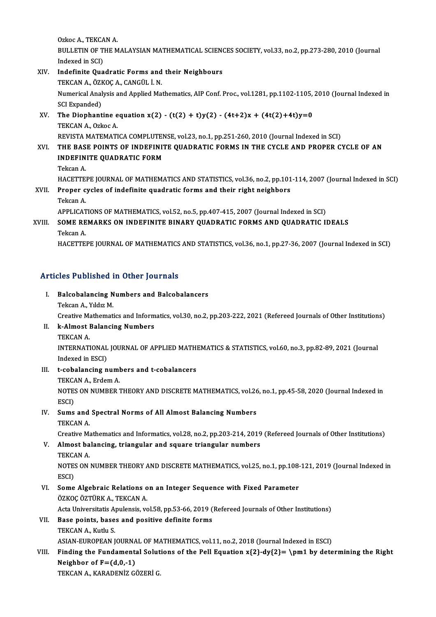Ozkoc A., TEKCAN A. Ozkoc A., TEKCAN A.<br>BULLETIN OF THE MALAYSIAN MATHEMATICAL SCIENCES SOCIETY, vol.33, no.2, pp.273-280, 2010 (Journal Ozkoc A., TEKCA<br>BULLETIN OF T<br>Indexed in SCI)<br>Indefinite Oue BULLETIN OF THE MALAYSIAN MATHEMATICAL SCIENO<br>Indexed in SCI)<br>XIV. Indefinite Quadratic Forms and their Neighbours<br>TEVCAN A GYVOC A CANCULLAN

### Indexed in SCI)<br>XIV. Indefinite Quadratic Forms and their Neighbours Numerical Analysis and Applied Mathematics, AIP Conf. Proc., vol.1281, pp.1102-1105, 2010 (Journal Indexed in SCI Expanded) TEKCAN A., ÖZKOÇ A., CANGÜL İ. N. Numerical Analysis and Applied Mathematics, AIP Conf. Proc., vol.1281, pp.1102-1105,<br>SCI Expanded)<br>XV. The Diophantine equation x(2) - (t(2) + t)y(2) - (4t+2)x + (4t(2)+4t)y=0<br>TEVCAN A Orkec A

## SCI Expanded)<br>The Diophantine e<br>TEKCAN A., Ozkoc A.<br>PEVISTA MATEMATI The Diophantine equation x(2) - (t(2) + t)y(2) - (4t+2)x + (4t(2)+4t)y=0<br>TEKCAN A., Ozkoc A.<br>REVISTA MATEMATICA COMPLUTENSE, vol.23, no.1, pp.251-260, 2010 (Journal Indexed in SCI)<br>THE BASE POINTS OF INDEFINITE OUADRATIC F TEKCAN A., Ozkoc A.<br>REVISTA MATEMATICA COMPLUTENSE, vol.23, no.1, pp.251-260, 2010 (Journal Indexed in SCI)<br>XVI. THE BASE POINTS OF INDEFINITE QUADRATIC FORMS IN THE CYCLE AND PROPER CYCLE OF AN

REVISTA MATEMATICA COMPLUTEN<br>THE BASE POINTS OF INDEFINIT<br>INDEFINITE QUADRATIC FORM<br>Teksan A THE BAS<br>INDEFIN<br>Tekcan A.<br>HACETTE INDEFINITE QUADRATIC FORM<br>Tekcan A.<br>HACETTEPE JOURNAL OF MATHEMATICS AND STATISTICS, vol.36, no.2, pp.101-114, 2007 (Journal Indexed in SCI)<br>Preper sysles of indefinite suedratis forms and their right peighbors. Tekcan A.<br>HACETTEPE JOURNAL OF MATHEMATICS AND STATISTICS, vol.36, no.2, pp.101<br>XVII. Proper cycles of indefinite quadratic forms and their right neighbors<br>Tekcan A. HACETTE<br>Proper c<br>Tekcan A.<br>APPLICAT Proper cycles of indefinite quadratic forms and their right neighbors<br>Tekcan A.<br>APPLICATIONS OF MATHEMATICS, vol.52, no.5, pp.407-415, 2007 (Journal Indexed in SCI)<br>SOME REMARKS ON INDEFINITE RINARY QUADRATIC FORMS AND QUA

## XVIII. SOME REMARKS ON INDEFINITE BINARY QUADRATIC FORMS AND QUADRATIC IDEALS<br>Tekcan A. APPLICAT<br>SOME RE<br>Tekcan A.<br>HACETTE

HACETTEPE JOURNAL OF MATHEMATICS AND STATISTICS, vol.36, no.1, pp.27-36, 2007 (Journal Indexed in SCI)

# Articles Published in Other Journals

|    | <b>Articles Published in Other Journals</b>                                                                    |
|----|----------------------------------------------------------------------------------------------------------------|
| Ι. | <b>Balcobalancing Numbers and Balcobalancers</b>                                                               |
|    | Tekcan A , Yıldız M                                                                                            |
|    | Creative Mathematics and Informatics, vol.30, no.2, pp.203-222, 2021 (Refereed Journals of Other Institutions) |
| Н. | k-Almost Balancing Numbers                                                                                     |
|    | TEKCAN A                                                                                                       |
|    | INTERNATIONAL JOURNAL OF APPLIED MATHEMATICS & STATISTICS, vol.60, no.3, pp.82-89, 2021 (Journal               |
|    | Indoved in $ECDI$                                                                                              |

TEKCAN A.<br>INTERNATIONAL<br>Indexed in ESCI)<br>+ cobelensing n INTERNATIONAL JOURNAL OF APPLIED MATHI<br>Indexed in ESCI)<br>III. t-cobalancing numbers and t-cobalancers<br>TEVCAN A. Erdom A

Indexed in ESCI)<br>t-cobalancing numl<br>TEKCAN A., Erdem A.<br>NOTES ON NUMPER 7

t-cobalancing numbers and t-cobalancers<br>TEKCAN A., Erdem A.<br>NOTES ON NUMBER THEORY AND DISCRETE MATHEMATICS, vol.26, no.1, pp.45-58, 2020 (Journal Indexed in<br>ESCD TEKCA<br>NOTE:<br>ESCI)<br>Suma NOTES ON NUMBER THEORY AND DISCRETE MATHEMATICS, vol.26<br>ESCI)<br>IV. Sums and Spectral Norms of All Almost Balancing Numbers<br>TEVCAN A

## ESCI)<br>Sums and<br>TEKCAN A.

TEKCAN A.<br>Creative Mathematics and Informatics, vol.28, no.2, pp.203-214, 2019 (Refereed Journals of Other Institutions)

## TEKCAN A.<br>Creative Mathematics and Informatics, vol.28, no.2, pp.203-214, 2019<br>V. Almost balancing, triangular and square triangular numbers<br>TEKCAN A Creative Ma<br>**Almost ba<br>TEKCAN A.**<br>NOTES ON

Almost balancing, triangular and square triangular numbers<br>TEKCAN A.<br>NOTES ON NUMBER THEORY AND DISCRETE MATHEMATICS, vol.25, no.1, pp.108-121, 2019 (Journal Indexed in<br>ESCD TEKCA<br>NOTE:<br>ESCI)<br>Some NOTES ON NUMBER THEORY AND DISCRETE MATHEMATICS, vol.25, no.1, pp.108-<br>ESCI)<br>VI. Some Algebraic Relations on an Integer Sequence with Fixed Parameter<br>ÖZVOC ÖZTÜPK A TEVCAN A

## ESCI)<br>Some Algebraic Relations o<br>ÖZKOÇ ÖZTÜRK A., TEKCAN A.<br>Acta Universitatis Anulansis ve Some Algebraic Relations on an Integer Sequence with Fixed Parameter<br>ÖZKOÇ ÖZTÜRK A., TEKCAN A.<br>Acta Universitatis Apulensis, vol.58, pp.53-66, 2019 (Refereed Journals of Other Institutions)<br>Base points, bases and positive ÖZKOÇ ÖZTÜRK A., TEKCAN A.<br>Acta Universitatis Apulensis, vol.58, pp.53-66, 2019 (<br>VII. Base points, bases and positive definite forms<br>TEKCAN A. Kuth: S

## Acta Universitatis A<br>**Base points, base<br>TEKCAN A., Kutlu S.**<br>ASIAN EUROPEAN I

VII. Base points, bases and positive definite forms<br>TEKCAN A., Kutlu S.<br>ASIAN-EUROPEAN JOURNAL OF MATHEMATICS, vol.11, no.2, 2018 (Journal Indexed in ESCI)

## TEKCAN A., Kutlu S.<br>ASIAN-EUROPEAN JOURNAL OF MATHEMATICS, vol.11, no.2, 2018 (Journal Indexed in ESCI)<br>VIII. Finding the Fundamental Solutions of the Pell Equation x{2}-dy{2}= \pm1 by determining the Right<br>Neighbor of E=( ASIAN-EUROPEAN JOURNA<br>Finding the Fundament:<br>Neighbor of F=(d,0,-1)<br>TEKCAN A KARADENIZ CO Finding the Fundamental Solut<br>Neighbor of F=(d,0,-1)<br>TEKCAN A., KARADENİZ GÖZERİ G.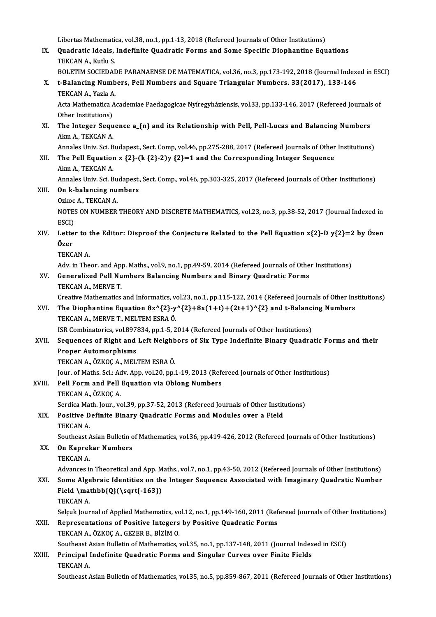Libertas Mathematica, vol.38, no.1, pp.1-13, 2018 (Refereed Journals of Other Institutions)<br>Quadratic Ideals, Indefinite Quadratic Forme and Some Specific Dianhantine Fou

IX. Quadratic Ideals, Indefinite Quadratic Forms and Some Specific Diophantine Equations Libertas Mathemation<br>**Quadratic Ideals,<br>TEKCAN A., Kutlu S.**<br>POLETIM SOCIEDAL Quadratic Ideals, Indefinite Quadratic Forms and Some Specific Diophantine Equations<br>TEKCAN A., Kutlu S.<br>BOLETIM SOCIEDADE PARANAENSE DE MATEMATICA, vol.36, no.3, pp.173-192, 2018 (Journal Indexed in ESCI)<br>t Palanging Numb

X. t-Balancing Numbers, Pell Numbers and Square Triangular Numbers. 33(2017), 133-146<br>TEKCAN A., Yazla A. BOLETIM SOCIEDAI<br>t-Balancing Numb<br>TEKCAN A., Yazla A. t-Balancing Numbers, Pell Numbers and Square Triangular Numbers. 33(2017), 133-146<br>TEKCAN A., Yazla A.<br>Acta Mathematica Academiae Paedagogicae Nyíregyháziensis, vol.33, pp.133-146, 2017 (Refereed Journals of<br>Other Institut

TEKCAN A., Yazla A<br>Acta Mathematica *f*<br>Other Institutions)<br>The Integer Seau Acta Mathematica Academiae Paedagogicae Nyíregyháziensis, vol.33, pp.133-146, 2017 (Refereed Journals<br>Other Institutions)<br>XI. The Integer Sequence a\_{n} and its Relationship with Pell, Pell-Lucas and Balancing Numbers<br>Alm

Other Institutions)<br>The Integer Sequent<br>Akın A., TEKCAN A. The Integer Sequence a\_{n} and its Relationship with Pell, Pell-Lucas and Balancing Numbers<br>Akin A., TEKCAN A.<br>Annales Univ. Sci. Budapest., Sect. Comp, vol.46, pp.275-288, 2017 (Refereed Journals of Other Institutions)<br>Th

Akın A., TEKCAN A.<br>Annales Univ. Sci. Budapest., Sect. Comp. vol.46, pp.275-288, 2017 (Refereed Journals of Other<br>XII. The Pell Equation x {2}-(k {2}-2)y {2}=1 and the Corresponding Integer Sequence<br>Alm A. TEKCAN A Annales Univ. Sci. B<br>The Pell Equation<br>Akın A., TEKCAN A.<br>Annales Univ. Sci. B The Pell Equation x {2}-(k {2}-2)y {2}=1 and the Corresponding Integer Sequence<br>Akın A., TEKCAN A.<br>Annales Univ. Sci. Budapest., Sect. Comp., vol.46, pp.303-325, 2017 (Refereed Journals of Other Institutions)<br>On k balangin

Akın A., TEKCAN A.<br>Annales Univ. Sci. Budapest.<br>XIII. **On k-balancing numbers** Annales Univ. Sci. Bu<br>**On k-balancing nu**:<br>Ozkoc A., TEKCAN A.<br>NOTES ON NUMBER

#### Ozkoc A., TEKCAN A.

NOTES ON NUMBER THEORY AND DISCRETE MATHEMATICS, vol.23, no.3, pp.38-52, 2017 (Journal Indexed in ESCI) NOTES ON NUMBER THEORY AND DISCRETE MATHEMATICS, vol.23, no.3, pp.38-52, 2017 (Journal Indexed in<br>ESCI)<br>XIV. Letter to the Editor: Disproof the Conjecture Related to the Pell Equation x{2}-D y{2}=2 by Özen

### ESCI)<br>Lette<br>Özer<br>TE*VC* Letter to 1<br>Özer<br>TEKCAN A.<br>Adv. in The Özer<br>TEKCAN A.<br>Adv. in Theor. and App. Maths., vol.9, no.1, pp.49-59, 2014 (Refereed Journals of Other Institutions)

## TEKCAN A.<br>Adv. in Theor. and App. Maths., vol.9, no.1, pp.49-59, 2014 (Refereed Journals of Othe<br>XV. Generalized Pell Numbers Balancing Numbers and Binary Quadratic Forms<br>TEKCAN A. MERVE T Adv. in Theor. and App<br>Generalized Pell Nu<br>TEKCAN A., MERVE T.<br>Creative Mathematics

TEKCAN A., MERVE T.<br>Creative Mathematics and Informatics, vol.23, no.1, pp.115-122, 2014 (Refereed Journals of Other Institutions)

TEKCAN A., MERVE T.<br>Creative Mathematics and Informatics, vol.23, no.1, pp.115-122, 2014 (Refereed Journals of Other Ins<br>XVI. The Diophantine Equation 8x^{2}-y^{2}+8x(1+t)+(2t+1)^{2} and t-Balancing Numbers<br>TEVCAN A. MERVE Creative Mathematics and Informatics, v<br>The Diophantine Equation 8x^{2}-y<br>TEKCAN A., MERVE T., MELTEM ESRAÖ. The Diophantine Equation 8x^{2}-y^{2}+8x(1+t)+(2t+1)^{2} and t-Balanci<br>TEKCAN A., MERVE T., MELTEM ESRA Ö.<br>ISR Combinatorics, vol.897834, pp.1-5, 2014 (Refereed Journals of Other Institutions)<br>Seguences of Bight and Left N

### TEKCAN A., MERVE T., MELTEM ESRA Ö.<br>ISR Combinatorics, vol.897834, pp.1-5, 2014 (Refereed Journals of Other Institutions)<br>XVII. Sequences of Right and Left Neighbors of Six Type Indefinite Binary Quadratic Forms and their<br> **ISR Combinatorics, vol.897<br>Sequences of Right and<br>Proper Automorphisms<br>TEKCAN A ÖZKOC A MEL** Sequences of Right and Left Neighb<br>Proper Automorphisms<br>TEKCAN A., ÖZKOÇ A., MELTEM ESRA Ö.<br>Jour of Mathe Sgit Adu Ann vol 20 nn i Proper Automorphisms<br>TEKCAN A., ÖZKOÇ A., MELTEM ESRA Ö.<br>Jour. of Maths. Sci.: Adv. App, vol.20, pp.1-19, 2013 (Refereed Journals of Other Institutions)<br>Pell Ferm and Pell Faustion via Oblang Numbers

## TEKCAN A., ÖZKOÇ A., MELTEM ESRA Ö.<br>Jour. of Maths. Sci.: Adv. App, vol.20, pp.1-19, 2013 (Ref<br>XVIII. Pell Form and Pell Equation via Oblong Numbers<br>TEKCAN A., ÖZKOÇ A. Jour. of Maths. Sci.: Ac<br>Pell Form and Pell<br>TEKCAN A., ÖZKOÇ A.<br>Sendige Math Jour. 177

## Pell Form and Pell Equation via Oblong Numbers<br>TEKCAN A., ÖZKOÇ A.<br>Serdica Math. Jour., vol.39, pp.37-52, 2013 (Refereed Journals of Other Institutions)<br>Positive Definite Binany Quadratic Forms and Modules even a Field

TEKCAN A., ÖZKOÇ A.<br>Serdica Math. Jour., vol.39, pp.37-52, 2013 (Refereed Journals of Other Institute Definite Binary Quadratic Forms and Modules over a Field Serdica Ma<br>Positive D<br>TEKCAN A.<br>Soutboost / Positive Definite Binary Quadratic Forms and Modules over a Field<br>TEKCAN A.<br>Southeast Asian Bulletin of Mathematics, vol.36, pp.419-426, 2012 (Refereed Journals of Other Institutions)<br>On Kannekar Numbers

## TEKCAN A.<br>Southeast Asian Bulletin o<br>XX. On Kaprekar Numbers<br>TEKCAN A.

Southeast A<br>**On Kaprel**<br>TEKCAN A. On Kaprekar Numbers<br>TEKCAN A.<br>Advances in Theoretical and App. Maths., vol.7, no.1, pp.43-50, 2012 (Refereed Journals of Other Institutions)<br>Some Algebrais Identities on the Integer Sequence Associated with Imaginery Quadr TEKCAN A.<br>Advances in Theoretical and App. Maths., vol.7, no.1, pp.43-50, 2012 (Refereed Journals of Other Institutions)<br>XXI. Some Algebraic Identities on the Integer Sequence Associated with Imaginary Quadratic Number<br>Fie

### Advances in Theoretical and App. M<br>Some Algebraic Identities on th<br>Field \mathbb{Q}(\sqrt{-163})<br>TEKCAN A Some Alge<br>Field \ma<br>TEKCAN A.<br>Selgyk Jour Field \mathbb{Q}(\sqrt{-163})<br>TEKCAN A.<br>Selçuk Journal of Applied Mathematics, vol.12, no.1, pp.149-160, 2011 (Refereed Journals of Other Institutions)

#### XXII. Representations of Positive Integers by Positive Quadratic Forms TEKCANA.,ÖZKOÇA.,GEZERB.,BİZİMO. Representations of Positive Integers by Positive Quadratic Forms<br>TEKCAN A., ÖZKOÇ A., GEZER B., BİZİM O.<br>Southeast Asian Bulletin of Mathematics, vol.35, no.1, pp.137-148, 2011 (Journal Indexed in ESCI)<br>Principal Indefinit

### TEKCAN A., ÖZKOÇ A., GEZER B., BİZİM O.<br>Southeast Asian Bulletin of Mathematics, vol.35, no.1, pp.137-148, 2011 (Journal Index<br>XXIII. Principal Indefinite Quadratic Forms and Singular Curves over Finite Fields Southeast A<br>Principal<br>TEKCAN A.<br>Southeast A Principal Indefinite Quadratic Forms and Singular Curves over Finite Fields<br>TEKCAN A.<br>Southeast Asian Bulletin of Mathematics, vol.35, no.5, pp.859-867, 2011 (Refereed Journals of Other Institutions)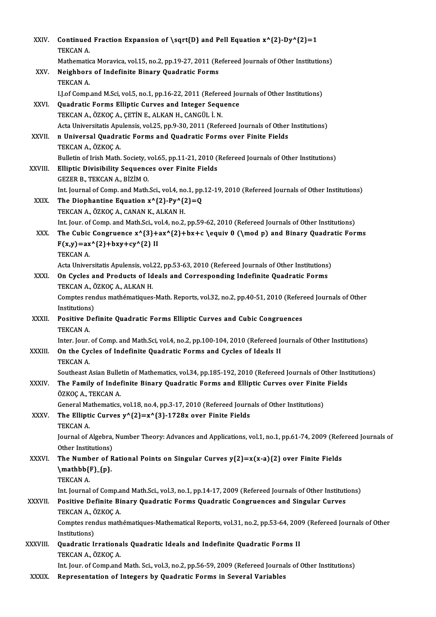| XXIV.        | Continued Fraction Expansion of \sqrt{D} and Pell Equation $x^{2}-Dy^{2}=1$<br>TEKCAN A.                                                                                                              |
|--------------|-------------------------------------------------------------------------------------------------------------------------------------------------------------------------------------------------------|
|              | Mathematica Moravica, vol.15, no.2, pp.19-27, 2011 (Refereed Journals of Other Institutions)                                                                                                          |
| XXV.         | Neighbors of Indefinite Binary Quadratic Forms                                                                                                                                                        |
|              | TEKCAN A.                                                                                                                                                                                             |
|              | I.J.of Comp.and M.Sci, vol.5, no.1, pp.16-22, 2011 (Refereed Journals of Other Institutions)                                                                                                          |
| XXVI.        | Quadratic Forms Elliptic Curves and Integer Sequence                                                                                                                                                  |
|              | TEKCAN A., ÖZKOÇ A., ÇETİN E., ALKAN H., CANGÜL İ. N.                                                                                                                                                 |
|              | Acta Universitatis Apulensis, vol.25, pp.9-30, 2011 (Refereed Journals of Other Institutions)                                                                                                         |
| XXVII.       | n Universal Quadratic Forms and Quadratic Forms over Finite Fields                                                                                                                                    |
|              | TEKCAN A., ÖZKOÇ A.                                                                                                                                                                                   |
|              | Bulletin of Irish Math. Society, vol.65, pp.11-21, 2010 (Refereed Journals of Other Institutions)                                                                                                     |
| XXVIII.      | <b>Elliptic Divisibility Sequences over Finite Fields</b>                                                                                                                                             |
|              | GEZER B., TEKCAN A., BİZİM O.<br>Int. Journal of Comp. and Math.Sci., vol.4, no.1, pp.12-19, 2010 (Refereed Journals of Other Institutions)                                                           |
| XXIX.        | The Diophantine Equation $x^{(2)-Py^{(2)}=Q}$                                                                                                                                                         |
|              | TEKCAN A., ÖZKOÇ A., CANAN K., ALKAN H.                                                                                                                                                               |
|              | Int. Jour. of Comp. and Math.Sci., vol.4, no.2, pp.59-62, 2010 (Refereed Journals of Other Institutions)                                                                                              |
| XXX.         | The Cubic Congruence $x^{3}+ax^{2}+bx+c \equiv 0 (\mod p)$ and Binary Quadratic Forms                                                                                                                 |
|              | $F(x,y) = ax^{(2)} + bxy + cy^{(2)}$ II                                                                                                                                                               |
|              | TEKCAN A.                                                                                                                                                                                             |
|              | Acta Universitatis Apulensis, vol.22, pp.53-63, 2010 (Refereed Journals of Other Institutions)                                                                                                        |
| XXXI.        | On Cycles and Products of Ideals and Corresponding Indefinite Quadratic Forms                                                                                                                         |
|              | TEKCAN A., ÖZKOÇ A., ALKAN H.                                                                                                                                                                         |
|              | Comptes rendus mathématiques-Math. Reports, vol.32, no.2, pp.40-51, 2010 (Refereed Journals of Other                                                                                                  |
|              | Institutions)                                                                                                                                                                                         |
| XXXII.       | Positive Definite Quadratic Forms Elliptic Curves and Cubic Congruences                                                                                                                               |
|              | TEKCAN A.                                                                                                                                                                                             |
|              | Inter. Jour. of Comp. and Math Sci, vol.4, no.2, pp.100-104, 2010 (Refereed Journals of Other Institutions)                                                                                           |
| XXXIII.      | On the Cycles of Indefinite Quadratic Forms and Cycles of Ideals II                                                                                                                                   |
|              | <b>TEKCAN A</b>                                                                                                                                                                                       |
| XXXIV.       | Southeast Asian Bulletin of Mathematics, vol.34, pp.185-192, 2010 (Refereed Journals of Other Institutions)<br>The Family of Indefinite Binary Quadratic Forms and Elliptic Curves over Finite Fields |
|              | ÖZKOÇ A., TEKCAN A.                                                                                                                                                                                   |
|              | General Mathematics, vol.18, no.4, pp.3-17, 2010 (Refereed Journals of Other Institutions)                                                                                                            |
| XXXV.        | The Elliptic Curves $y^{(2)}=x^{(3)}-1728x$ over Finite Fields                                                                                                                                        |
|              | TEKCAN A.                                                                                                                                                                                             |
|              | Journal of Algebra, Number Theory: Advances and Applications, vol.1, no.1, pp.61-74, 2009 (Refereed Journals of                                                                                       |
|              | Other Institutions)                                                                                                                                                                                   |
| <b>XXXVI</b> | The Number of Rational Points on Singular Curves $y(2)=x(x-a)(2)$ over Finite Fields                                                                                                                  |
|              | $\mathbf{F}_{p}$                                                                                                                                                                                      |
|              | <b>TEKCAN A</b>                                                                                                                                                                                       |
|              | Int. Journal of Comp.and Math Sci., vol.3, no.1, pp.14-17, 2009 (Refereed Journals of Other Institutions)                                                                                             |
| XXXVII.      | Positive Definite Binary Quadratic Forms Quadratic Congruences and Singular Curves                                                                                                                    |
|              | TEKCAN A., ÖZKOÇ A.                                                                                                                                                                                   |
|              | Comptes rendus mathématiques-Mathematical Reports, vol.31, no.2, pp.53-64, 2009 (Refereed Journals of Other                                                                                           |
|              | Institutions)                                                                                                                                                                                         |
| XXXVIII.     | Quadratic Irrationals Quadratic Ideals and Indefinite Quadratic Forms II                                                                                                                              |
|              | TEKCAN A., ÖZKOÇ A.                                                                                                                                                                                   |
|              | Int. Jour. of Comp.and Math. Sci., vol.3, no.2, pp.56-59, 2009 (Refereed Journals of Other Institutions)                                                                                              |
| XXXIX.       | Representation of Integers by Quadratic Forms in Several Variables                                                                                                                                    |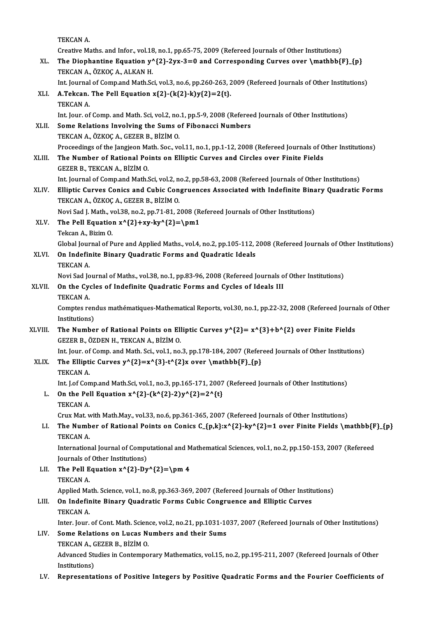TEKCAN A.

Creative Maths. and Infor., vol.18, no.1, pp.65-75, 2009 (Refereed Journals of Other Institutions)

TEKCAN A.<br>Creative Maths. and Infor., vol.18, no.1, pp.65-75, 2009 (Refereed Journals of Other Institutions)<br>XL. The Diophantine Equation y^{2}-2yx-3=0 and Corresponding Curves over \mathbb{F}\_{p}<br>TEVCAN A. ÖZVOC A. ALVAN Creative Maths. and Infor., vol.18<br>The Diophantine Equation y'<br>TEKCAN A., ÖZKOÇ A., ALKAN H. The Diophantine Equation y^{2}-2yx-3=0 and Corresponding Curves over \mathbb{F}\_{p}<br>TEKCAN A., ÖZKOÇ A., ALKAN H.<br>Int. Journal of Comp.and Math.Sci, vol.3, no.6, pp.260-263, 2009 (Refereed Journals of Other Institutions)<br>A

Int. Journal of Comp.and Math.Sci, vol.3, no.6, pp.260-263, 2009 (Refereed Journals of Other Institutions)

### TEKCAN A., ÖZKOÇ A., ALKAN H.<br>Int. Journal of Comp.and Math.Sci, vol.3, no.6, pp.260-263, 2<br>XLI. A.Tekcan. The Pell Equation x{2}-(k{2}-k)y{2}=2{t}.<br>TEKCAN A. Int. Jour. of Comp. and Math. Sci, vol.2, no.1, pp.5-9, 2008 (Refereed Journals of Other Institutions) XLII. Some Relations Involving the Sums of Fibonacci Numbers TEKCANA.,ÖZKOÇA.,GEZERB.,BİZİMO. Some Relations Involving the Sums of Fibonacci Numbers<br>TEKCAN A., ÖZKOÇ A., GEZER B., BİZİM O.<br>Proceedings of the Jangjeon Math. Soc., vol.11, no.1, pp.1-12, 2008 (Refereed Journals of Other Institutions)<br>The Number of Pat

XLIII. The Number of Rational Points on Elliptic Curves and Circles over Finite Fields<br>GEZER B., TEKCAN A., BIZIM O. Proceedings of the Jangjeon Ma<br>The Number of Rational Po.<br>GEZER B., TEKCAN A., BİZİM O. The Number of Rational Points on Elliptic Curves and Circles over Finite Fields<br>GEZER B., TEKCAN A., BİZİM O.<br>Int. Journal of Comp.and Math.Sci, vol.2, no.2, pp.58-63, 2008 (Refereed Journals of Other Institutions)<br>Ellinti

GEZER B., TEKCAN A., BİZİM O.<br>Int. Journal of Comp.and Math.Sci, vol.2, no.2, pp.58-63, 2008 (Refereed Journals of Other Institutions)<br>XLIV. Elliptic Curves Conics and Cubic Congruences Associated with Indefinite Binary Qu Int. Journal of Comp.and Math.Sci, vol.2, n<br>Elliptic Curves Conics and Cubic Con<br>TEKCAN A., ÖZKOÇ A., GEZER B., BİZİM O.<br>Navi Sed L.Math. vol.22, no.2, nn.71, 81, 2 XLIV. Elliptic Curves Conics and Cubic Congruences Associated with Indefinite Binary Quadratic Forms<br>TEKCAN A., ÖZKOÇ A., GEZER B., BİZİM O.

Novi Sad J. Math., vol.38, no.2, pp.71-81, 2008 (Refereed Journals of Other Institutions)<br>XLV. The Pell Equation  $x^{\prime}\{2\}+\frac{xy^{\prime}\{2\}}{pm1}$ <br>Tekcan A., Bizim O. The Pell Equation  $x^{2}+xy-ky^{2}=\pm 1$ 

The Pell Equation x^{2}+xy-ky^{2}=\pm1<br>Tekcan A., Bizim O.<br>Global Journal of Pure and Applied Maths., vol.4, no.2, pp.105-112, 2008 (Refereed Journals of Other Institutions) Tekcan A., Bizim O.<br>Global Journal of Pure and Applied Maths., vol.4, no.2, pp.105-112, 2<br>XLVI. On Indefinite Binary Quadratic Forms and Quadratic Ideals<br>TEKCAN A

Global Jour<br>**On Indefir**<br>TEKCAN A.<br>Novi Sad Jo On Indefinite Binary Quadratic Forms and Quadratic Ideals<br>TEKCAN A.<br>Novi Sad Journal of Maths., vol.38, no.1, pp.83-96, 2008 (Refereed Journals of Other Institutions)<br>On the Gygles of Indefinite Quadratic Forms and Gygles

TEKCAN A.<br>Novi Sad Journal of Maths., vol.38, no.1, pp.83-96, 2008 (Refereed Journals of XLVII. On the Cycles of Indefinite Quadratic Forms and Cycles of Ideals III<br>TEKCAN A. Novi Sad Jo<br>**On the Cy**<br>TEKCAN A.<br>Comptes re On the Cycles of Indefinite Quadratic Forms and Cycles of Ideals III<br>TEKCAN A.<br>Comptes rendus mathématiques-Mathematical Reports, vol.30, no.1, pp.22-32, 2008 (Refereed Journals of Other<br>Institutions)

TEKCAN A<br>Comptes ren<br>Institutions)<br>The Numbe Comptes rendus mathématiques-Mathematical Reports, vol.30, no.1, pp.22-32, 2008 (Refereed Journal<br>Institutions)<br>XLVIII. The Number of Rational Points on Elliptic Curves  $y^A{2} = x^A{3}+b^A{2}$  over Finite Fields<br>CEZER R. Ö

## Institutions)<br>The Number of Rational Points on Ell<br>GEZER B., ÖZDEN H., TEKCAN A., BİZİM O. The Number of Rational Points on Elliptic Curves y^{2}= x^{3}+b^{2} over Finite Fields<br>GEZER B., ÖZDEN H., TEKCAN A., BİZİM O.<br>Int. Jour. of Comp. and Math. Sci., vol.1, no.3, pp.178-184, 2007 (Refereed Journals of Other I

Int. Jour. of Comp. and Math. Sci., vol.1, no.3, pp.178-184, 2007 (Refereed Journals of Other Institutions)

XLIX. The Elliptic Curves  $y^{2} = x^{3}-t^{2}x$  over  $\mathcal{F}_{p}$ <br>TEKCAN A. The Elliptic Curves y^{2}=x^{3}-t^{2}x over \mathbb{F}\_{p}<br>TEKCAN A.<br>Int. J.of Comp.and Math.Sci, vol.1, no.3, pp.165-171, 2007 (Refereed Journals of Other Institutions)<br>On the Poll Equation xA{3}, (IA{3}, 3)xA{3}-3A{t)

L. On the Pell Equation  $x^{(2)-(k^{(2)-2)y^{(2)}=2^{k}t}$ <br>TEKCAN A. Int. J.of Con<br>**On the Pel**<br>TEKCAN A.<br>Cruy Met y TEKCAN A.<br>Crux Mat. with Math.May., vol.33, no.6, pp.361-365, 2007 (Refereed Journals of Other Institutions)<br>LI. The Number of Rational Points on Conics C\_{p,k}:x^{2}-ky^{2}=1 over Finite Fields \mathbb{F}\_{p}<br>TEKCAN A

Crux Mat. with Math.May., vol.33, no.6, pp.361-365, 2007 (Refereed Journals of Other Institutions)

Crux Mat. v<br>**The Numb**<br>TEKCAN A.<br>Internation The Number of Rational Points on Conics C\_{p,k}:x^{2}-ky^{2}=1 over Finite Fields \mathbb{F<br>TEKCAN A.<br>International Journal of Computational and Mathematical Sciences, vol.1, no.2, pp.150-153, 2007 (Refereed<br>Journals of Ot

TEKCAN A.<br>International Journal of Computational and Mathematical Sciences, vol.1, no.2, pp.150-153, 2007 (Refereed<br>Journals of Other Institutions) International Journal of Computational and M<br>Journals of Other Institutions)<br>LII. The Pell Equation  $x^{2}-Dy^{2} = \pm 4$ 

Journals of<br>The Pell E<br>TEKCAN A.<br>Annlied Me The Pell Equation x^{2}-Dy^{2}=\pm 4<br>TEKCAN A.<br>Applied Math. Science, vol.1, no.8, pp.363-369, 2007 (Refereed Journals of Other Institutions)<br>On Indefinite Binany Quadratic Forms Cubis Congruence and Ellintic Curyes

## TEKCAN A.<br>Applied Math. Science, vol.1, no.8, pp.363-369, 2007 (Refereed Journals of Other Instit<br>LIII. On Indefinite Binary Quadratic Forms Cubic Congruence and Elliptic Curves<br>TEKCAN A. Applied Ma<br>**On Indefir**<br>TEKCAN A.<br>Inter Jour On Indefinite Binary Quadratic Forms Cubic Congruence and Elliptic Curves<br>TEKCAN A.<br>Inter. Jour. of Cont. Math. Science, vol.2, no.21, pp.1031-1037, 2007 (Refereed Journals of Other Institutions)<br>Same Belations on Lugas Nu

LIV. Some Relations on Lucas Numbers and their Sums Inter. Jour. of Cont. Math. Scien<br>Some Relations on Lucas N<br>TEKCAN A., GEZER B., BİZİM O.<br>Advanaad Studies in Centemne Advanced Studies in Contemporary Mathematics, vol.15, no.2, pp.195-211, 2007 (Refereed Journals of Other Institutions) TEKCAN A., GEZER B., BİZİM O.

LV. Representations of Positive Integers by Positive Quadratic Forms and the Fourier Coefficients of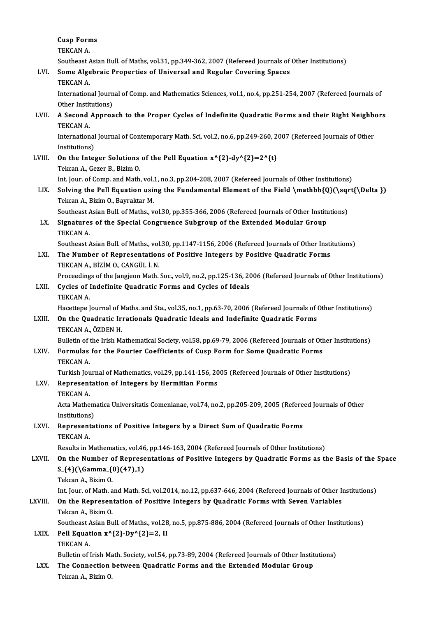Cusp Forms<br>TEVCAN A Cusp Forn<br>TEKCAN A.<br>Soutboost TEKCAN A.<br>Southeast Asian Bull. of Maths, vol.31, pp.349-362, 2007 (Refereed Journals of Other Institutions) TEKCAN A.<br>Southeast Asian Bull. of Maths, vol.31, pp.349-362, 2007 (Refereed Journals of<br>LVI. Some Algebraic Properties of Universal and Regular Covering Spaces<br>TEVCAN A Southeast A<br>Some Alge<br>TEKCAN A. Some Algebraic Properties of Universal and Regular Covering Spaces<br>TEKCAN A.<br>International Journal of Comp. and Mathematics Sciences, vol.1, no.4, pp.251-254, 2007 (Refereed Journals of<br>Other Institutions) TEKCAN A.<br>International Journ<br>Other Institutions)<br>A Second Annrea International Journal of Comp. and Mathematics Sciences, vol.1, no.4, pp.251-254, 2007 (Refereed Journals of<br>Other Institutions)<br>LVII. A Second Approach to the Proper Cycles of Indefinite Quadratic Forms and their Right Ne Other Instit<br>A Second<br>TEKCAN A. A Second Approach to the Proper Cycles of Indefinite Quadratic Forms and their Right Neighb<br>TEKCAN A.<br>International Journal of Contemporary Math. Sci, vol.2, no.6, pp.249-260, 2007 (Refereed Journals of Other<br>Institutions) TEKCAN A<br>International<br>Institutions)<br>On the Inter International Journal of Contemporary Math. Sci, vol.2, no.6, pp.249-260, 2<br>Institutions)<br>LVIII. On the Integer Solutions of the Pell Equation  $x^2{2}-dy^2{2}=2^t{t}$ <br>Tekson A. Corea B. Birim O. Institutions)<br>On the Integer Solutions of the Pell Equation  $x^{\wedge}{2}-dy^{\wedge}{2} = 2^{\wedge}{t}$ <br>Tekcan A., Gezer B., Bizim O. On the Integer Solutions of the Pell Equation x^{2}-dy^{2}=2^{t}<br>Tekcan A., Gezer B., Bizim O.<br>Int. Jour. of Comp. and Math, vol.1, no.3, pp.204-208, 2007 (Refereed Journals of Other Institutions)<br>Solving the Pell Equation Tekcan A., Gezer B., Bizim O.<br>Int. Jour. of Comp. and Math, vol.1, no.3, pp.204-208, 2007 (Refereed Journals of Other Institutions)<br>LIX. Solving the Pell Equation using the Fundamental Element of the Field \mathbb{Q}(\sqrt Int. Jour. of Comp. and Math, vol.<br>Solving the Pell Equation usin<br>Tekcan A., Bizim O., Bayraktar M.<br>Southeast Asian Bull of Mathe Solving the Pell Equation using the Fundamental Element of the Field \mathbb{Q}(\sqr<br>Tekcan A., Bizim O., Bayraktar M.<br>Southeast Asian Bull. of Maths., vol.30, pp.355-366, 2006 (Refereed Journals of Other Institutions)<br>Sig Tekcan A., Bizim O., Bayraktar M.<br>Southeast Asian Bull. of Maths., vol.30, pp.355-366, 2006 (Refereed Journals of Other Institution:<br>LX. Signatures of the Special Congruence Subgroup of the Extended Modular Group Southeast A<br>Signature:<br>TEKCAN A. Signatures of the Special Congruence Subgroup of the Extended Modular Group<br>TEKCAN A.<br>Southeast Asian Bull. of Maths., vol.30, pp.1147-1156, 2006 (Refereed Journals of Other Institutions)<br>The Number of Penresentations of P TEKCAN A.<br>Southeast Asian Bull. of Maths., vol.30, pp.1147-1156, 2006 (Refereed Journals of Other Insti<br>LXI. The Number of Representations of Positive Integers by Positive Quadratic Forms<br>TEVCAN A. PIZIM O. CANCULL N Southeast Asian Bull. of Maths., vol<br>The Number of Representation<br>TEKCAN A., BİZİM O., CANGÜL İ. N.<br>Preseedings of the Jangieen Math The Number of Representations of Positive Integers by Positive Quadratic Forms<br>TEKCAN A., BİZİM O., CANGÜL İ. N.<br>Proceedings of the Jangjeon Math. Soc., vol.9, no.2, pp.125-136, 2006 (Refereed Journals of Other Institution TEKCAN A., BİZİM O., CANGÜL İ. N.<br>Proceedings of the Jangjeon Math. Soc., vol.9, no.2, pp.125-136, 20<br>LXII. Cycles of Indefinite Quadratic Forms and Cycles of Ideals<br>TEKCAN A. Proceeding<br>**Cycles of** 1<br>TEKCAN A.<br>Hasettane I Hacettepe Journal of Maths. and Sta., vol.35, no.1, pp.63-70, 2006 (Refereed Journals of Other Institutions) TEKCAN A.<br>Hacettepe Journal of Maths. and Sta., vol.35, no.1, pp.63-70, 2006 (Refereed Journals of (<br>LXIII. On the Quadratic Irrationals Quadratic Ideals and Indefinite Quadratic Forms<br>TEKCAN A. ÖZDEN H Hacettepe Journal of N<br>**On the Quadratic Ir**<br>TEKCAN A., ÖZDEN H.<br>Pulletin of the Irish M. On the Quadratic Irrationals Quadratic Ideals and Indefinite Quadratic Forms<br>TEKCAN A., ÖZDEN H.<br>Bulletin of the Irish Mathematical Society, vol.58, pp.69-79, 2006 (Refereed Journals of Other Institutions)<br>Formulas for the TEKCAN A., ÖZDEN H.<br>Bulletin of the Irish Mathematical Society, vol.58, pp.69-79, 2006 (Refereed Journals of Oth<br>LXIV. Formulas for the Fourier Coefficients of Cusp Form for Some Quadratic Forms<br>TEKCAN A. Bulletin of<br>**Formulas**<br>TEKCAN A.<br>Turkish Jou Formulas for the Fourier Coefficients of Cusp Form for Some Quadratic Forms<br>TEKCAN A.<br>Turkish Journal of Mathematics, vol.29, pp.141-156, 2005 (Refereed Journals of Other Institutions)<br>Pennecentation of Integens by Hormiti LXV. Representation of Integers by Hermitian Forms Turkish Jou<br>Represent<br>TEKCAN A. Representation of Integers by Hermitian Forms<br>TEKCAN A.<br>Acta Mathematica Universitatis Comenianae, vol.74, no.2, pp.205-209, 2005 (Refereed Journals of Other<br>Institutions) TEKCAN A.<br>Acta Mathem<br>Institutions)<br>Pennasenta Acta Mathematica Universitatis Comenianae, vol.74, no.2, pp.205-209, 2005 (Refere<br>Institutions)<br>LXVI. Representations of Positive Integers by a Direct Sum of Quadratic Forms<br>TEKCAN A Institutions<br>Represent<br>TEKCAN A.<br>Posults in N Representations of Positive Integers by a Direct Sum of Quadratic Forms<br>TEKCAN A.<br>Results in Mathematics, vol.46, pp.146-163, 2004 (Refereed Journals of Other Institutions)<br>On the Number of Benresentations of Besitive Inte TEKCAN A.<br>Results in Mathematics, vol.46, pp.146-163, 2004 (Refereed Journals of Other Institutions)<br>LXVII. On the Number of Representations of Positive Integers by Quadratic Forms as the Basis of the Space<br>S. (42) Comma ( Results in Mathematics, vol.46<br>On the Number of Represe<br>S\_{4}(\Gamma\_{0}(47),1)<br>Teksan A\_Birim O On the Number<br>S\_{4}(\Gamma\_{<br>Tekcan A., Bizim O. S\_{4}(\Gamma\_{0}(47),1)<br>Tekcan A., Bizim O.<br>Int. Jour. of Math. and Math. Sci, vol.2014, no.12, pp.637-646, 2004 (Refereed Journals of Other Institutions)<br>On the Benresentation of Bositive Integers by Quadratic Forms with Tekcan A., Bizim O.<br>Int. Jour. of Math. and Math. Sci, vol.2014, no.12, pp.637-646, 2004 (Refereed Journals of Other Is<br>LXVIII. On the Representation of Positive Integers by Quadratic Forms with Seven Variables<br>Tekcan A., Int. Jour. of Math. a<br>On the Represen<br>Tekcan A., Bizim O.<br>Southeast Asian Bu On the Representation of Positive Integers by Quadratic Forms with Seven Variables<br>Tekcan A., Bizim O.<br>Southeast Asian Bull. of Maths., vol.28, no.5, pp.875-886, 2004 (Refereed Journals of Other Institutions)<br>Poll Faustion LXIX. Pell Equation  $x^{(2)-Dy^{(2)}=2$ , II<br>TEKCAN A. Southeast A<br>Pell Equat<br>TEKCAN A.<br>Pulletin of i Pell Equation x^{2}-Dy^{2}=2, II<br>TEKCAN A.<br>Bulletin of Irish Math. Society, vol.54, pp.73-89, 2004 (Refereed Journals of Other Institutions)<br>The Connection between Quadratic Forme and the Extended Modular Croup TEKCAN A.<br>Bulletin of Irish Math. Society, vol.54, pp.73-89, 2004 (Refereed Journals of Other Instit<br>LXX. The Connection between Quadratic Forms and the Extended Modular Group<br>Telsen A. Birim O. Bulletin of Irish Ma<br><mark>The Connection</mark><br>Tekcan A., Bizim O.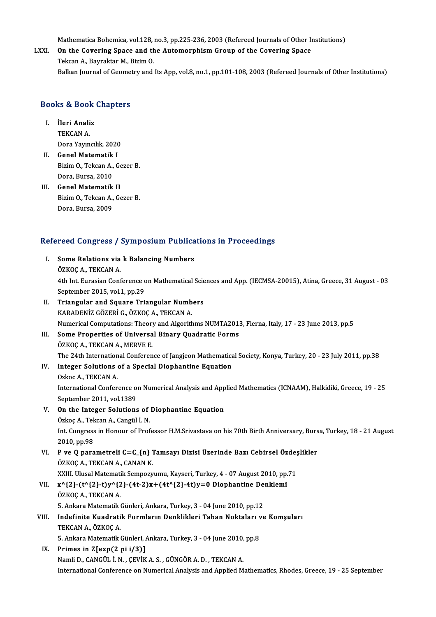Mathematica Bohemica, vol.128, no.3, pp.225-236, 2003 (Refereed Journals of Other Institutions)<br>On the Covering Space and the Automorphism Croup of the Covering Space

### LXXI. On the Covering Space and the Automorphism Group of the Covering Space<br>Tekcan A., Bayraktar M., Bizim O. Mathematica Bohemica, vol.128,<br>On the Covering Space and the<br>Tekcan A., Bayraktar M., Bizim O.<br>Balkan Journal of Coometry and Balkan Journal of Geometry and Its App, vol.8, no.1, pp.101-108, 2003 (Refereed Journals of Other Institutions)

# вакан journal or Geomer<br>Books & Book Chapters

- OOKS & BOOK<br>I. İleri Analiz<br>TEVCAN A I. **İleri Analiz**<br>TEKCAN A. DoraYayıncılık,2020 TEKCAN A.<br>Dora Yayıncılık, 2020<br>II. Genel Matematik I
- Dora Yayıncılık, 2020<br>Genel Matematik I<br>Bizim O., Tekcan A., Gezer B.<br>Dora Burga 2010 Genel Matematik<br>Bizim O., Tekcan A.,<br>Dora, Bursa, 2010<br>Conel Matematik Bizim O., Tekcan A., G.<br>Dora, Bursa, 2010<br>III. Genel Matematik II
- Dora, Bursa, 2010<br>Genel Matematik II<br>Bizim O., Tekcan A., Gezer B.<br>Dora Bursa 2000 Genel Matematik<br>Bizim O., Tekcan A.,<br>Dora, Bursa, 2009

# Dora, Bursa, 2009<br>Refereed Congress / Symposium Publications in Proceedings

|       | Refereed Congress / Symposium Publications in Proceedings                                                        |
|-------|------------------------------------------------------------------------------------------------------------------|
| L     | Some Relations via k Balancing Numbers                                                                           |
|       | ÖZKOÇ A., TEKCAN A.                                                                                              |
|       | 4th Int. Eurasian Conference on Mathematical Sciences and App. (IECMSA-20015), Atina, Greece, 31 August - 03     |
|       | September 2015, vol.1, pp.29                                                                                     |
| П.    | Triangular and Square Triangular Numbers                                                                         |
|       | KARADENİZ GÖZERİ G., ÖZKOÇ A., TEKCAN A.                                                                         |
|       | Numerical Computations: Theory and Algorithms NUMTA2013, Flerna, Italy, 17 - 23 June 2013, pp.5                  |
| III.  | Some Properties of Universal Binary Quadratic Forms                                                              |
|       | ÖZKOÇ A., TEKCAN A., MERVE E.                                                                                    |
|       | The 24th International Conference of Jangjeon Mathematical Society, Konya, Turkey, 20 - 23 July 2011, pp.38      |
| IV.   | Integer Solutions of a Special Diophantine Equation                                                              |
|       | Ozkoc A., TEKCAN A.                                                                                              |
|       | International Conference on Numerical Analysis and Applied Mathematics (ICNAAM), Halkidiki, Greece, 19 - 25      |
|       | September 2011, vol.1389                                                                                         |
| V.    | On the Integer Solutions of Diophantine Equation                                                                 |
|       | Özkoç A., Tekcan A., Cangül İ. N.                                                                                |
|       | Int. Congress in Honour of Professor H.M.Srivastava on his 70th Birth Anniversary, Bursa, Turkey, 18 - 21 August |
|       | 2010, pp 98                                                                                                      |
| VI.   | P ve Q parametreli C=C_{n} Tamsayı Dizisi Üzerinde Bazı Cebirsel Özdeşlikler                                     |
|       | ÖZKOÇ A., TEKCAN A., CANAN K.                                                                                    |
|       | XXIII. Ulusal Matematik Sempozyumu, Kayseri, Turkey, 4 - 07 August 2010, pp.71                                   |
| VII.  | $x^{(2)}(t^{(2)}-t)y^{(2)}(4t-2)x+(4t^{(2)}-4t)y=0$ Diophantine Denklemi                                         |
|       | ÖZKOÇ A, TEKCAN A                                                                                                |
|       | 5. Ankara Matematik Günleri, Ankara, Turkey, 3 - 04 June 2010, pp.12                                             |
| VIII. | Indefinite Kuadratik Formların Denklikleri Taban Noktaları ve Komşuları                                          |
|       | TEKCAN A., ÖZKOÇ A.                                                                                              |
|       | 5. Ankara Matematik Günleri, Ankara, Turkey, 3 - 04 June 2010, pp.8                                              |
| IX.   | Primes in $Z[exp(2 pi i/3)]$                                                                                     |
|       | Namli D., CANGÜL İ. N., ÇEVİK A. S., GÜNGÖR A. D., TEKCAN A.                                                     |
|       | International Conference on Numerical Analysis and Applied Mathematics, Rhodes, Greece, 19 - 25 September        |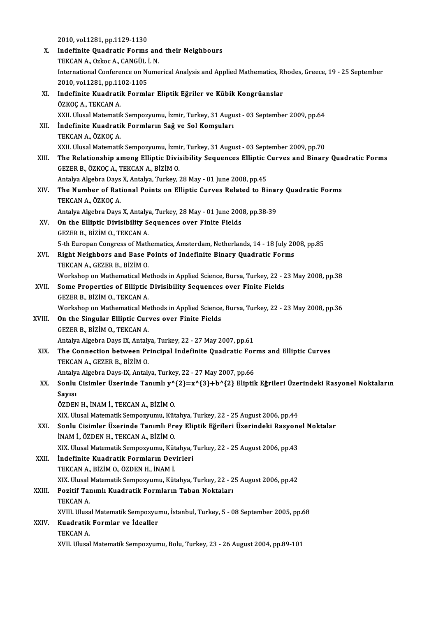- 2010,vol.1281,pp.1129-1130 2010, vol.1281, pp.1129-1130<br>X. Indefinite Quadratic Forms and their Neighbours<br>TEKCAN A Orkes A GANGÜL LN 2010, vol.1281, pp.1129-1130<br>Indefinite Quadratic Forms and<br>TEKCAN A., Ozkoc A., CANGÜL İ. N.<br>International Cenference en Nume International Conference on Numerical Analysis and Applied Mathematics, Rhodes, Greece, 19 - 25 September 2010, vol.1281, pp.1102-1105 TEKCAN A., Ozkoc A., CANGÜL İ. N. International Conference on Numerical Analysis and Applied Mathematics, R<br>2010, vol.1281, pp.1102-1105<br>XI. Indefinite Kuadratik Formlar Eliptik Eğriler ve Kübik Kongrüanslar<br>ÖZKOC A TEKCAN A 2010, vol.1281, pp.11<br>Indefinite Kuadrati<br>ÖZKOÇ A., TEKCAN A.<br>YYU Ulusal Matamatil ÖZKOÇ A., TEKCAN A.<br>XXII. Ulusal Matematik Sempozyumu, İzmir, Turkey, 31 August - 03 September 2009, pp.64 ÖZKOÇ A., TEKCAN A.<br>XXII. Ulusal Matematik Sempozyumu, İzmir, Turkey, 31 Augu<br>XII. İndefinite Kuadratik Formların Sağ ve Sol Komşuları<br>TEKÇAN A. ÖZKOÇ A XXII. Ulusal Matematik<br>İndefinite Kuadrati<br>TEKCAN A., ÖZKOÇ A.<br>YYU. Ulusal Matematik TEKCAN A., ÖZKOÇ A.<br>XXII. Ulusal Matematik Sempozyumu, İzmir, Turkey, 31 August - 03 September 2009, pp.70 XIII. The Relationship among Elliptic Divisibility Sequences Elliptic Curves and Binary Quadratic Forms GEZERB.,ÖZKOÇA.,TEKCANA.,BİZİMO. The Relationship among Elliptic Divisibility Sequences Elliptic (<br>GEZER B., ÖZKOÇ A., TEKCAN A., BİZİM O.<br>Antalya Algebra Days X, Antalya, Turkey, 28 May - 01 June 2008, pp.45<br>The Number of Bational Boints on Ellintic Guru GEZER B., ÖZKOÇ A., TEKCAN A., BİZİM O.<br>Antalya Algebra Days X, Antalya, Turkey, 28 May - 01 June 2008, pp.45<br>XIV. The Number of Rational Points on Elliptic Curves Related to Binary Quadratic Forms<br>TEKCAN A. ÖZKOC A Antalya Algebra Days<br>**The Number of Rat**<br>TEKCAN A., ÖZKOÇ A.<br>Antalya Algebra Days The Number of Rational Points on Elliptic Curves Related to Binar<br>TEKCAN A., ÖZKOÇ A.<br>Antalya Algebra Days X, Antalya, Turkey, 28 May - 01 June 2008, pp.38-39<br>On the Ellintic Divisibility Sequences over Einite Eields TEKCAN A., ÖZKOÇ A.<br>Antalya Algebra Days X, Antalya, Turkey, 28 May - 01 June 2008, pp.38-39<br>XV. On the Elliptic Divisibility Sequences over Finite Fields GEZERB.,BİZİMO.,TEKCANA. On the Elliptic Divisibility Sequences over Finite Fields<br>GEZER B., BİZİM O., TEKCAN A.<br>5-th Europan Congress of Mathematics, Amsterdam, Netherlands, 14 - 18 July 2008, pp.85<br>Bight Neighbors and Base Beints of Indefinite B GEZER B., BİZİM O., TEKCAN A.<br>5-th Europan Congress of Mathematics, Amsterdam, Netherlands, 14 - 18 July 20<br>XVI. Right Neighbors and Base Points of Indefinite Binary Quadratic Forms<br>TEKCAN A. CEZER R. RİZİM O. 5-th Europan Congress of Math<br>Right Neighbors and Base F<br>TEKCAN A., GEZER B., BİZİM O.<br>Worksbon on Mathematical Me Right Neighbors and Base Points of Indefinite Binary Quadratic Forms<br>TEKCAN A., GEZER B., BİZİM O.<br>Workshop on Mathematical Methods in Applied Science, Bursa, Turkey, 22 - 23 May 2008, pp.38<br>Some Proporties of Ellintic Div TEKCAN A., GEZER B., BİZİM O.<br>Workshop on Mathematical Methods in Applied Science, Bursa, Turkey, 22 - 2<br>XVII. Some Properties of Elliptic Divisibility Sequences over Finite Fields<br>GEZER B., BİZİM O., TEKCAN A. Workshop on Mathematical Me<br>Some Properties of Elliptic<br>GEZER B., BİZİM O., TEKCAN A.<br>Workshop on Mathematical Me Some Properties of Elliptic Divisibility Sequences over Finite Fields<br>GEZER B., BİZİM O., TEKCAN A.<br>Workshop on Mathematical Methods in Applied Science, Bursa, Turkey, 22 - 23 May 2008, pp.36<br>On the Singular Ellintic Curyc XVIII. On the Singular Elliptic Curves over Finite Fields<br>GEZER B., BİZİM O., TEKCAN A. Workshop on Mathematical Me<br>On the Singular Elliptic Cur<br>GEZER B., BİZİM O., TEKCAN A.<br>Antalya Alsabra Dave IX. Antaly On the Singular Elliptic Curves over Finite Fields<br>GEZER B., BİZİM O., TEKCAN A.<br>Antalya Algebra Days IX, Antalya, Turkey, 22 - 27 May 2007, pp.61<br>The Connection between Principal Indefinite Quedratic Fer XIX. The Connection between Principal Indefinite Quadratic Forms and Elliptic Curves<br>TEKCAN A., GEZER B., BİZİM O. Antalya Algebra Days IX, Antaly<br>The Connection between Pr<br>TEKCAN A., GEZER B., BİZİM O.<br>Antalya Algebra Days IX. Antaly The Connection between Principal Indefinite Quadratic For<br>TEKCAN A., GEZER B., BİZİM O.<br>Antalya Algebra Days-IX, Antalya, Turkey, 22 - 27 May 2007, pp.66<br>Senlu Gisimler Üzerinde Tanımlı vA(3)—vA(3) + bA(3) Elintil XX. Sonlu Cisimler Üzerinde Tanımlı y^{2}=x^{3}+b^{2} Eliptik Eğrileri Üzerindeki Rasyonel Noktaların Antalya<br>Sonlu<br>Sayısı<br>Özpen ÖZDENH., İNAMİ.,TEKCANA.,BİZİMO. XIX. Ulusal Matematik Sempozyumu, Kütahya, Turkey, 22 - 25 August 2006, pp.44 ÖZDEN H., İNAM İ., TEKCAN A., BİZİM O.<br>XIX. Ulusal Matematik Sempozyumu, Kütahya, Turkey, 22 - 25 August 2006, pp.44<br>XXI. Sonlu Cisimler Üzerinde Tanımlı Frey Eliptik Eğrileri Üzerindeki Rasyonel Noktalar<br>İNAM İ. ÖZDEN U. İNAM İ., ÖZDEN H., TEKCAN A., BİZİM O.<br>XIX. Ulusal Matematik Sempozyumu, Kütahya, Turkey, 22 - 25 August 2006, pp.43 Sonlu Cisimler Üzerinde Tanımlı Frey Eliptik Eğrileri Üzerindeki Rasyon<br>İNAM İ., ÖZDEN H., TEKCAN A., BİZİM O.<br>XIX. Ulusal Matematik Sempozyumu, Kütahya, Turkey, 22 - 25 August 2006, pp.43<br>İndefinite Kuedratik Fermlerun De XXII. İndefinite Kuadratik Formların Devirleri TEKCANA.,BİZİMO.,ÖZDENH., İNAMİ. İndefinite Kuadratik Formların Devirleri<br>TEKCAN A., BİZİM O., ÖZDEN H., İNAM İ.<br>XIX. Ulusal Matematik Sempozyumu, Kütahya, Turkey, 22 - 25 August 2006, pp.42<br>Pozitif Tanımlı Kuadratik Formların Taban Noktaları
	-

#### XXIII. Pozitif Tanımlı Kuadratik Formların Taban Noktaları<br>TEKCAN A. XIX. Ulusal<br>Pozitif Tai<br>TEKCAN A.<br>YVIII. Ulusa Pozitif Tanımlı Kuadratik Formların Taban Noktaları<br>TEKCAN A.<br>XVIII. Ulusal Matematik Sempozyumu, İstanbul, Turkey, 5 - 08 September 2005, pp.68<br>Kuadratik Formlar ve İdealler TEKCAN A.<br>XVIII. Ulusal Matematik Sempozyur<br>XXIV. Kuadratik Formlar ve İdealler<br>TEKCAN A Kuadratik Formlar ve İdealler<br>TEKCAN A.

XVII. Ulusal Matematik Sempozyumu, Bolu, Turkey, 23 - 26 August 2004, pp.89-101